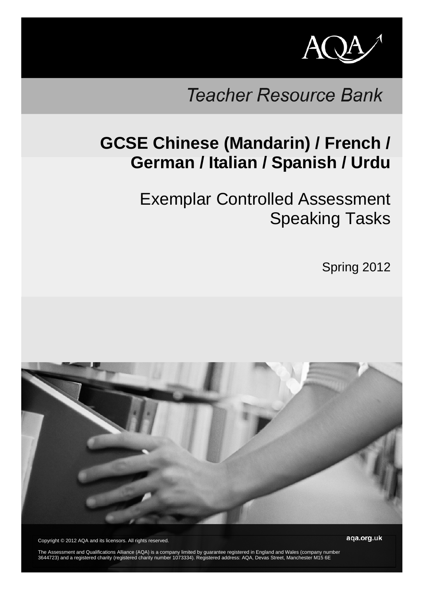

# **Teacher Resource Bank**

# **GCSE Chinese (Mandarin) / French / German / Italian / Spanish / Urdu**

Exemplar Controlled Assessment Speaking Tasks

Spring 2012



Copyright © 2012 AQA and its licensors. All rights reserved.

aga.org.uk

The Assessment and Qualifications Alliance (AQA) is a company limited by guarantee registered in England and Wales (company number 3644723) and a registered charity (registered charity number 1073334). Registered address: AQA, Devas Street, Manchester M15 6E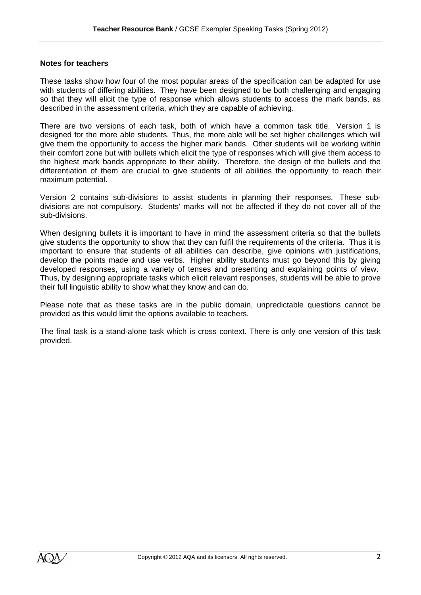#### **Notes for teachers**

These tasks show how four of the most popular areas of the specification can be adapted for use with students of differing abilities. They have been designed to be both challenging and engaging so that they will elicit the type of response which allows students to access the mark bands, as described in the assessment criteria, which they are capable of achieving.

There are two versions of each task, both of which have a common task title. Version 1 is designed for the more able students. Thus, the more able will be set higher challenges which will give them the opportunity to access the higher mark bands. Other students will be working within their comfort zone but with bullets which elicit the type of responses which will give them access to the highest mark bands appropriate to their ability. Therefore, the design of the bullets and the differentiation of them are crucial to give students of all abilities the opportunity to reach their maximum potential.

Version 2 contains sub-divisions to assist students in planning their responses. These subdivisions are not compulsory. Students' marks will not be affected if they do not cover all of the sub-divisions.

When designing bullets it is important to have in mind the assessment criteria so that the bullets give students the opportunity to show that they can fulfil the requirements of the criteria. Thus it is important to ensure that students of all abilities can describe, give opinions with justifications, develop the points made and use verbs. Higher ability students must go beyond this by giving developed responses, using a variety of tenses and presenting and explaining points of view. Thus, by designing appropriate tasks which elicit relevant responses, students will be able to prove their full linguistic ability to show what they know and can do.

Please note that as these tasks are in the public domain, unpredictable questions cannot be provided as this would limit the options available to teachers.

The final task is a stand-alone task which is cross context. There is only one version of this task provided.

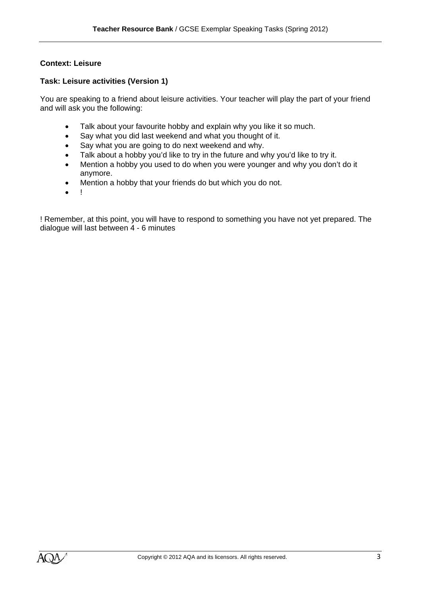## **Context: Leisure**

## **Task: Leisure activities (Version 1)**

You are speaking to a friend about leisure activities. Your teacher will play the part of your friend and will ask you the following:

- Talk about your favourite hobby and explain why you like it so much.
- Say what you did last weekend and what you thought of it.
- Say what you are going to do next weekend and why.
- Talk about a hobby you'd like to try in the future and why you'd like to try it.
- Mention a hobby you used to do when you were younger and why you don't do it anymore.
- Mention a hobby that your friends do but which you do not.
- !

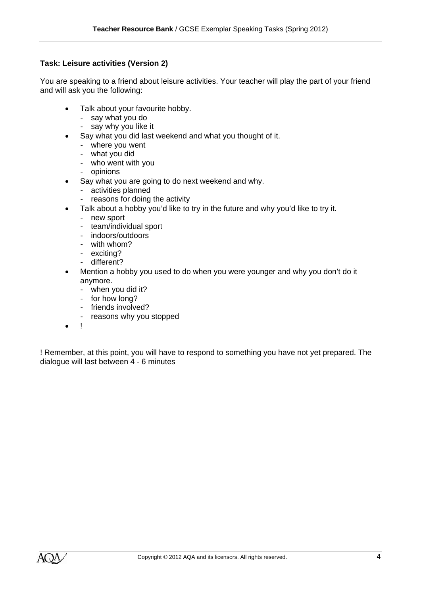# **Task: Leisure activities (Version 2)**

You are speaking to a friend about leisure activities. Your teacher will play the part of your friend and will ask you the following:

- Talk about your favourite hobby.
	- say what you do
	- say why you like it
- Say what you did last weekend and what you thought of it.
	- where you went
	- what you did
	- who went with you
	- opinions
- Say what you are going to do next weekend and why.
	- activities planned
	- reasons for doing the activity
	- Talk about a hobby you'd like to try in the future and why you'd like to try it.
		- new sport
		- team/individual sport
		- indoors/outdoors
		- with whom?
		- exciting?
		- different?
- Mention a hobby you used to do when you were younger and why you don't do it anymore.
	- when you did it?
	- for how long?
	- friends involved?
	- reasons why you stopped
- !

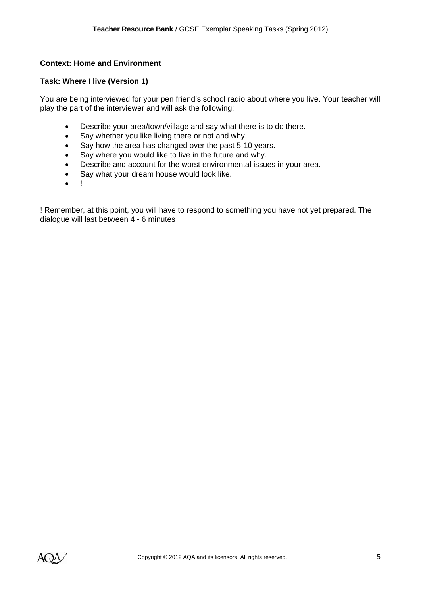## **Context: Home and Environment**

#### **Task: Where I live (Version 1)**

You are being interviewed for your pen friend's school radio about where you live. Your teacher will play the part of the interviewer and will ask the following:

- Describe your area/town/village and say what there is to do there.
- Say whether you like living there or not and why.
- Say how the area has changed over the past 5-10 years.
- Say where you would like to live in the future and why.
- Describe and account for the worst environmental issues in your area.
- Say what your dream house would look like.
- $\bullet$   $\bullet$

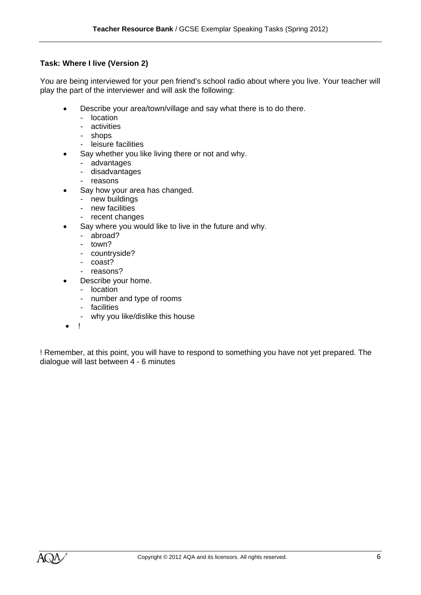## **Task: Where I live (Version 2)**

You are being interviewed for your pen friend's school radio about where you live. Your teacher will play the part of the interviewer and will ask the following:

- Describe your area/town/village and say what there is to do there.
	- location
	- activities
	- shops
	- leisure facilities
- Say whether you like living there or not and why.
	- advantages
	- disadvantages
	- reasons
- Say how your area has changed.
	- new buildings
	- new facilities
	- recent changes
- Say where you would like to live in the future and why.
	- abroad?
	- town?
	- countryside?
	- coast?
	- reasons?
- Describe your home.
	- location
	- number and type of rooms
	- facilities
	- why you like/dislike this house
- !

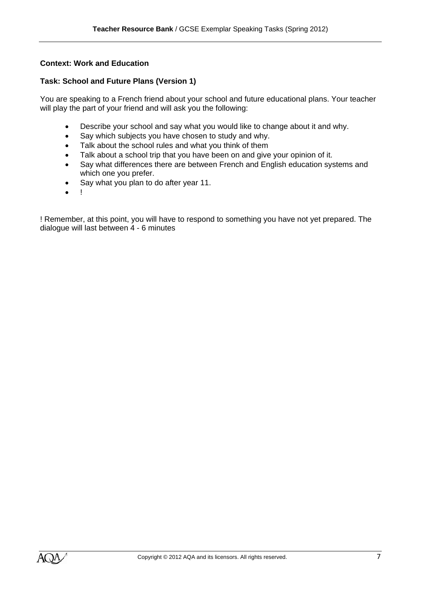### **Context: Work and Education**

#### **Task: School and Future Plans (Version 1)**

You are speaking to a French friend about your school and future educational plans. Your teacher will play the part of your friend and will ask you the following:

- Describe your school and say what you would like to change about it and why.
- Say which subjects you have chosen to study and why.
- Talk about the school rules and what you think of them
- Talk about a school trip that you have been on and give your opinion of it.
- Say what differences there are between French and English education systems and which one you prefer.
- Say what you plan to do after year 11.
- !

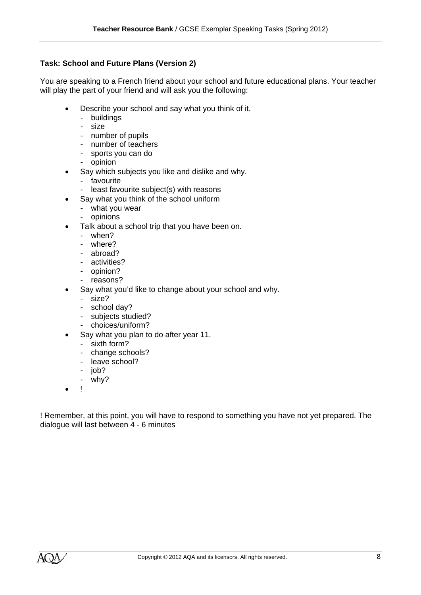# **Task: School and Future Plans (Version 2)**

You are speaking to a French friend about your school and future educational plans. Your teacher will play the part of your friend and will ask you the following:

- Describe your school and say what you think of it.
	- buildings
	- size
	- number of pupils
	- number of teachers
	- sports you can do
	- opinion
	- Say which subjects you like and dislike and why.
	- favourite
	- least favourite subject(s) with reasons
- Say what you think of the school uniform
	- what you wear
	- opinions
- Talk about a school trip that you have been on.
	- when?
	- where?
	- abroad?
	- activities?
	- opinion?
	- reasons?
- Say what you'd like to change about your school and why.
	- size?
	- school day?
	- subjects studied?
	- choices/uniform?
- Say what you plan to do after year 11.
	- sixth form?
	- change schools?
	- leave school?
	- iob?
	- why?
- !

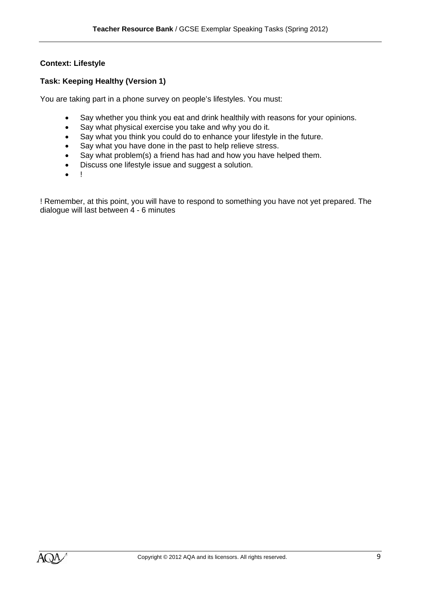## **Context: Lifestyle**

## **Task: Keeping Healthy (Version 1)**

You are taking part in a phone survey on people's lifestyles. You must:

- Say whether you think you eat and drink healthily with reasons for your opinions.
- Say what physical exercise you take and why you do it.
- Say what you think you could do to enhance your lifestyle in the future.
- Say what you have done in the past to help relieve stress.
- Say what problem(s) a friend has had and how you have helped them.
- Discuss one lifestyle issue and suggest a solution.
- $\bullet$  !

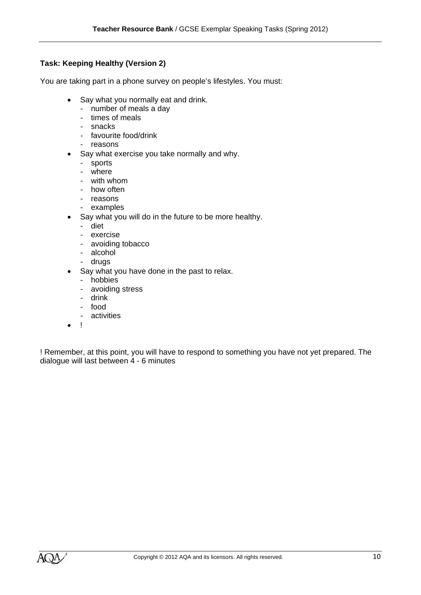# **Task: Keeping Healthy (Version 2)**

You are taking part in a phone survey on people's lifestyles. You must:

- Say what you normally eat and drink.
	- number of meals a day
	- times of meals
	- snacks
	- favourite food/drink
	- reasons
- Say what exercise you take normally and why.
	- sports
	- where
	- with whom
	- how often
	- reasons
	- examples
- Say what you will do in the future to be more healthy.
	- diet
	- exercise
	- avoiding tobacco
	- alcohol
	- drugs
	- Say what you have done in the past to relax.
		- hobbies
		- avoiding stress
		- drink
		- food
		- activities
- $\bullet$  !